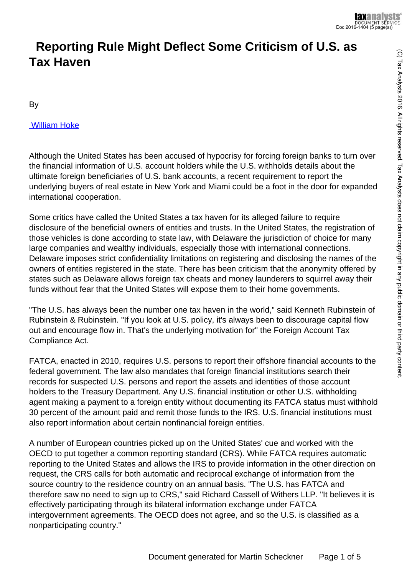# **Reporting Rule Might Deflect Some Criticism of U.S. as Tax Haven**

By

#### [William Hoke](http://www.taxnotes.com/document-list/contributors-authors/hoke-william?subscribed=1)

Although the United States has been accused of hypocrisy for forcing foreign banks to turn over the financial information of U.S. account holders while the U.S. withholds details about the ultimate foreign beneficiaries of U.S. bank accounts, a recent requirement to report the underlying buyers of real estate in New York and Miami could be a foot in the door for expanded international cooperation.

Some critics have called the United States a tax haven for its alleged failure to require disclosure of the beneficial owners of entities and trusts. In the United States, the registration of those vehicles is done according to state law, with Delaware the jurisdiction of choice for many large companies and wealthy individuals, especially those with international connections. Delaware imposes strict confidentiality limitations on registering and disclosing the names of the owners of entities registered in the state. There has been criticism that the anonymity offered by states such as Delaware allows foreign tax cheats and money launderers to squirrel away their funds without fear that the United States will expose them to their home governments.

"The U.S. has always been the number one tax haven in the world," said Kenneth Rubinstein of Rubinstein & Rubinstein. "If you look at U.S. policy, it's always been to discourage capital flow out and encourage flow in. That's the underlying motivation for" the Foreign Account Tax Compliance Act.

FATCA, enacted in 2010, requires U.S. persons to report their offshore financial accounts to the federal government. The law also mandates that foreign financial institutions search their records for suspected U.S. persons and report the assets and identities of those account holders to the Treasury Department. Any U.S. financial institution or other U.S. withholding agent making a payment to a foreign entity without documenting its FATCA status must withhold 30 percent of the amount paid and remit those funds to the IRS. U.S. financial institutions must also report information about certain nonfinancial foreign entities.

A number of European countries picked up on the United States' cue and worked with the OECD to put together a common reporting standard (CRS). While FATCA requires automatic reporting to the United States and allows the IRS to provide information in the other direction on request, the CRS calls for both automatic and reciprocal exchange of information from the source country to the residence country on an annual basis. "The U.S. has FATCA and therefore saw no need to sign up to CRS," said Richard Cassell of Withers LLP. "It believes it is effectively participating through its bilateral information exchange under FATCA intergovernment agreements. The OECD does not agree, and so the U.S. is classified as a nonparticipating country."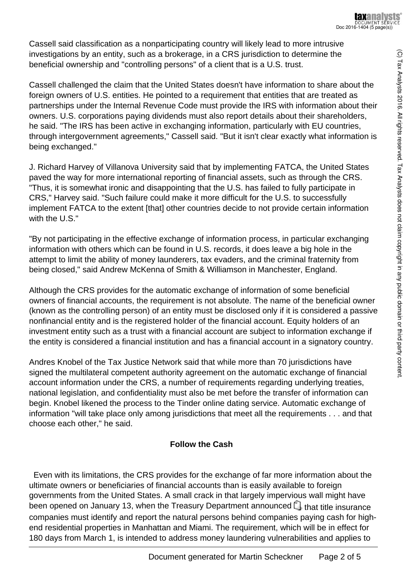Cassell said classification as a nonparticipating country will likely lead to more intrusive investigations by an entity, such as a brokerage, in a CRS jurisdiction to determine the beneficial ownership and "controlling persons" of a client that is a U.S. trust.

Cassell challenged the claim that the United States doesn't have information to share about the foreign owners of U.S. entities. He pointed to a requirement that entities that are treated as partnerships under the Internal Revenue Code must provide the IRS with information about their owners. U.S. corporations paying dividends must also report details about their shareholders, he said. "The IRS has been active in exchanging information, particularly with EU countries, through intergovernment agreements," Cassell said. "But it isn't clear exactly what information is being exchanged."

J. Richard Harvey of Villanova University said that by implementing FATCA, the United States paved the way for more international reporting of financial assets, such as through the CRS. "Thus, it is somewhat ironic and disappointing that the U.S. has failed to fully participate in CRS," Harvey said. "Such failure could make it more difficult for the U.S. to successfully implement FATCA to the extent [that] other countries decide to not provide certain information with the U.S."

"By not participating in the effective exchange of information process, in particular exchanging information with others which can be found in U.S. records, it does leave a big hole in the attempt to limit the ability of money launderers, tax evaders, and the criminal fraternity from being closed," said Andrew McKenna of Smith & Williamson in Manchester, England.

Although the CRS provides for the automatic exchange of information of some beneficial owners of financial accounts, the requirement is not absolute. The name of the beneficial owner (known as the controlling person) of an entity must be disclosed only if it is considered a passive nonfinancial entity and is the registered holder of the financial account. Equity holders of an investment entity such as a trust with a financial account are subject to information exchange if the entity is considered a financial institution and has a financial account in a signatory country.

Andres Knobel of the Tax Justice Network said that while more than 70 jurisdictions have signed the multilateral competent authority agreement on the automatic exchange of financial account information under the CRS, a number of requirements regarding underlying treaties, national legislation, and confidentiality must also be met before the transfer of information can begin. Knobel likened the process to the Tinder online dating service. Automatic exchange of information "will take place only among jurisdictions that meet all the requirements . . . and that choose each other," he said.

# **Follow the Cash**

 Even with its limitations, the CRS provides for the exchange of far more information about the ultimate owners or beneficiaries of financial accounts than is easily available to foreign governments from the United States. A small crack in that largely impervious wall might have beenopened on January 13, when the Treasury Department announced  $\Box$  that title insurance companies must identify and report the natural persons behind companies paying cash for highend residential properties in Manhattan and Miami. The requirement, which will be in effect for 180 days from March 1, is intended to address money laundering vulnerabilities and applies to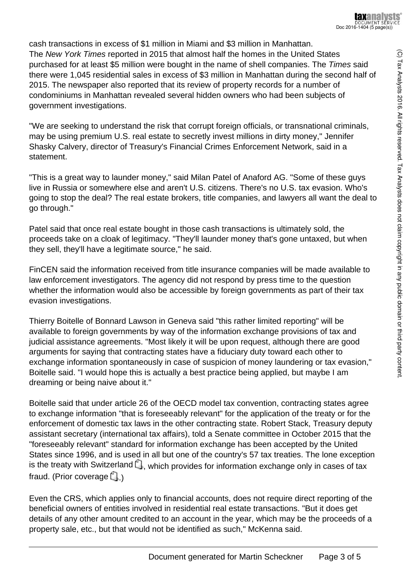cash transactions in excess of \$1 million in Miami and \$3 million in Manhattan. The New York Times reported in 2015 that almost half the homes in the United States purchased for at least \$5 million were bought in the name of shell companies. The Times said there were 1,045 residential sales in excess of \$3 million in Manhattan during the second half of 2015. The newspaper also reported that its review of property records for a number of condominiums in Manhattan revealed several hidden owners who had been subjects of government investigations.

"We are seeking to understand the risk that corrupt foreign officials, or transnational criminals, may be using premium U.S. real estate to secretly invest millions in dirty money," Jennifer Shasky Calvery, director of Treasury's Financial Crimes Enforcement Network, said in a statement.

"This is a great way to launder money," said Milan Patel of Anaford AG. "Some of these guys live in Russia or somewhere else and aren't U.S. citizens. There's no U.S. tax evasion. Who's going to stop the deal? The real estate brokers, title companies, and lawyers all want the deal to go through."

Patel said that once real estate bought in those cash transactions is ultimately sold, the proceeds take on a cloak of legitimacy. "They'll launder money that's gone untaxed, but when they sell, they'll have a legitimate source," he said.

FinCEN said the information received from title insurance companies will be made available to law enforcement investigators. The agency did not respond by press time to the question whether the information would also be accessible by foreign governments as part of their tax evasion investigations.

Thierry Boitelle of Bonnard Lawson in Geneva said "this rather limited reporting" will be available to foreign governments by way of the information exchange provisions of tax and judicial assistance agreements. "Most likely it will be upon request, although there are good arguments for saying that contracting states have a fiduciary duty toward each other to exchange information spontaneously in case of suspicion of money laundering or tax evasion," Boitelle said. "I would hope this is actually a best practice being applied, but maybe I am dreaming or being naive about it."

Boitelle said that under article 26 of the OECD model tax convention, contracting states agree to exchange information "that is foreseeably relevant" for the application of the treaty or for the enforcement of domestic tax laws in the other contracting state. Robert Stack, Treasury deputy assistant secretary (international tax affairs), told a Senate committee in October 2015 that the "foreseeably relevant" standard for information exchange has been accepted by the United States since 1996, and is used in all but one of the country's 57 tax treaties. The lone exception is the treaty with Switzerland  $\Box$ [,](http://www.taxnotes.com/tax-notes-today/international/full-text-us-switzerland-income-tax-convention-and-protocol-signed-october-2-1996-related-memorandum/1996/10/03/5734951) which provides for information exchange only in cases of tax fraud[.](http://www.taxnotes.com/tax-notes-today/treaties/pending-treaties-adopt-us-international-standards-says-stack/2015/10/30/16964501) (Prior coverage  $\Box$ .)

Even the CRS, which applies only to financial accounts, does not require direct reporting of the beneficial owners of entities involved in residential real estate transactions. "But it does get details of any other amount credited to an account in the year, which may be the proceeds of a property sale, etc., but that would not be identified as such," McKenna said.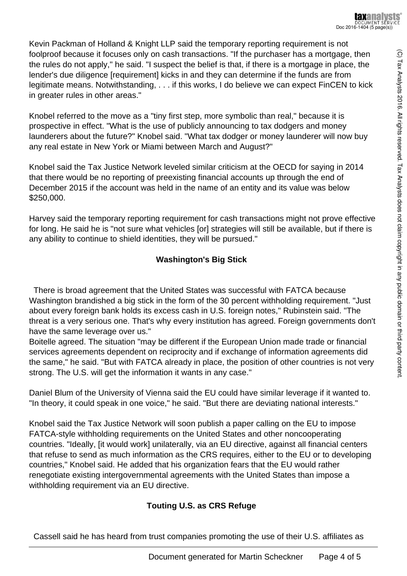Kevin Packman of Holland & Knight LLP said the temporary reporting requirement is not foolproof because it focuses only on cash transactions. "If the purchaser has a mortgage, then the rules do not apply," he said. "I suspect the belief is that, if there is a mortgage in place, the lender's due diligence [requirement] kicks in and they can determine if the funds are from legitimate means. Notwithstanding, . . . if this works, I do believe we can expect FinCEN to kick in greater rules in other areas."

Knobel referred to the move as a "tiny first step, more symbolic than real," because it is prospective in effect. "What is the use of publicly announcing to tax dodgers and money launderers about the future?" Knobel said. "What tax dodger or money launderer will now buy any real estate in New York or Miami between March and August?"

Knobel said the Tax Justice Network leveled similar criticism at the OECD for saying in 2014 that there would be no reporting of preexisting financial accounts up through the end of December 2015 if the account was held in the name of an entity and its value was below \$250,000.

Harvey said the temporary reporting requirement for cash transactions might not prove effective for long. He said he is "not sure what vehicles [or] strategies will still be available, but if there is any ability to continue to shield identities, they will be pursued."

## **Washington's Big Stick**

 There is broad agreement that the United States was successful with FATCA because Washington brandished a big stick in the form of the 30 percent withholding requirement. "Just about every foreign bank holds its excess cash in U.S. foreign notes," Rubinstein said. "The threat is a very serious one. That's why every institution has agreed. Foreign governments don't have the same leverage over us."

Boitelle agreed. The situation "may be different if the European Union made trade or financial services agreements dependent on reciprocity and if exchange of information agreements did the same," he said. "But with FATCA already in place, the position of other countries is not very strong. The U.S. will get the information it wants in any case."

Daniel Blum of the University of Vienna said the EU could have similar leverage if it wanted to. "In theory, it could speak in one voice," he said. "But there are deviating national interests."

Knobel said the Tax Justice Network will soon publish a paper calling on the EU to impose FATCA-style withholding requirements on the United States and other noncooperating countries. "Ideally, [it would work] unilaterally, via an EU directive, against all financial centers that refuse to send as much information as the CRS requires, either to the EU or to developing countries," Knobel said. He added that his organization fears that the EU would rather renegotiate existing intergovernmental agreements with the United States than impose a withholding requirement via an EU directive.

## **Touting U.S. as CRS Refuge**

Cassell said he has heard from trust companies promoting the use of their U.S. affiliates as